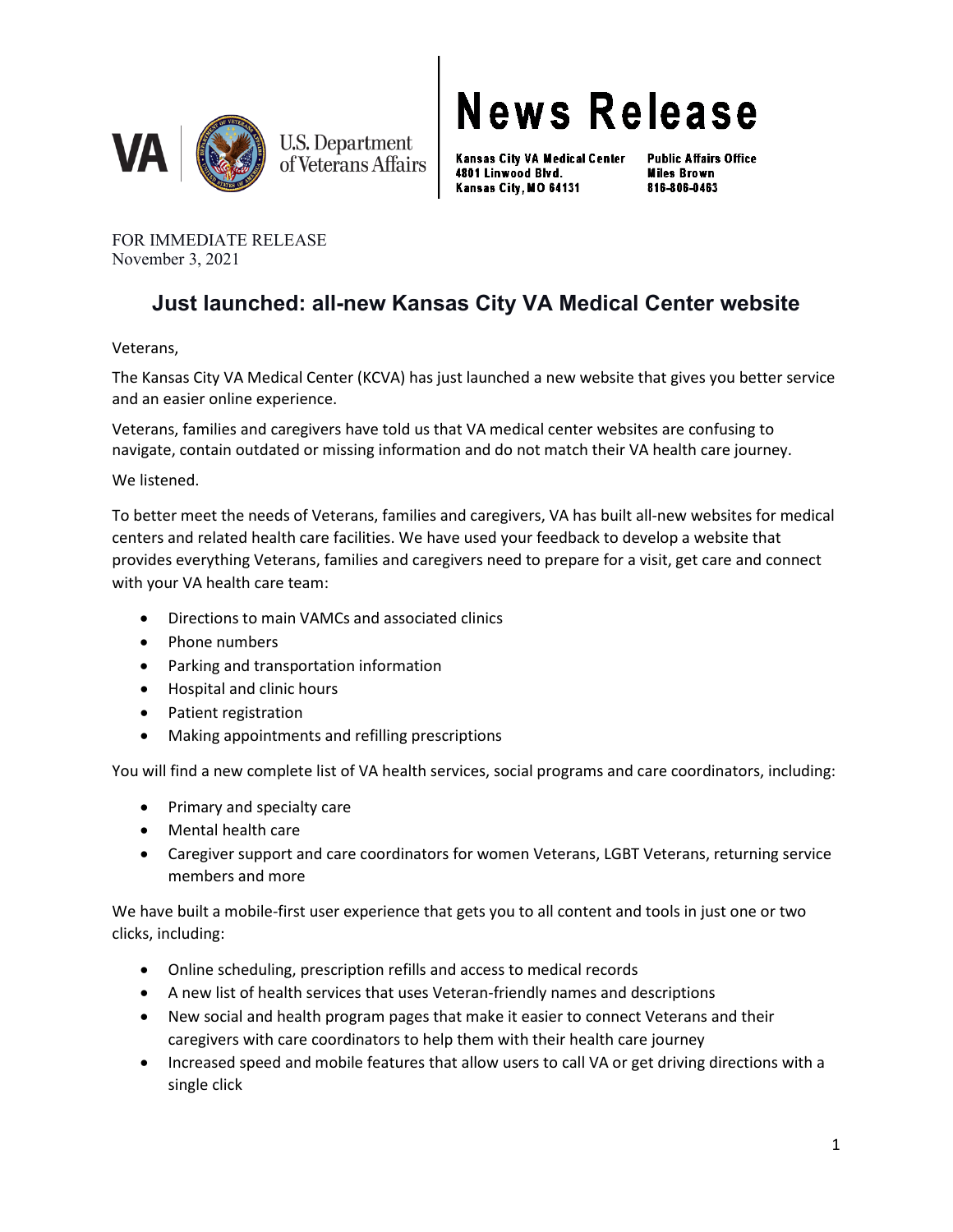

**News Release** 

Kansas City VA Medical Center 4801 Linwood Blvd. Kansas City, MO 64131

**Public Affairs Office Miles Brown** 816-806-0463

FOR IMMEDIATE RELEASE November 3, 2021

## **Just launched: all-new Kansas City VA Medical Center website**

Veterans,

The Kansas City VA Medical Center (KCVA) has just launched a new website that gives you better service and an easier online experience.

Veterans, families and caregivers have told us that VA medical center websites are confusing to navigate, contain outdated or missing information and do not match their VA health care journey.

We listened.

To better meet the needs of Veterans, families and caregivers, VA has built all-new websites for medical centers and related health care facilities. We have used your feedback to develop a website that provides everything Veterans, families and caregivers need to prepare for a visit, get care and connect with your VA health care team:

- Directions to main VAMCs and associated clinics
- Phone numbers
- Parking and transportation information
- Hospital and clinic hours
- Patient registration
- Making appointments and refilling prescriptions

You will find a new complete list of VA health services, social programs and care coordinators, including:

- Primary and specialty care
- Mental health care
- Caregiver support and care coordinators for women Veterans, LGBT Veterans, returning service members and more

We have built a mobile-first user experience that gets you to all content and tools in just one or two clicks, including:

- Online scheduling, prescription refills and access to medical records
- A new list of health services that uses Veteran-friendly names and descriptions
- New social and health program pages that make it easier to connect Veterans and their caregivers with care coordinators to help them with their health care journey
- Increased speed and mobile features that allow users to call VA or get driving directions with a single click